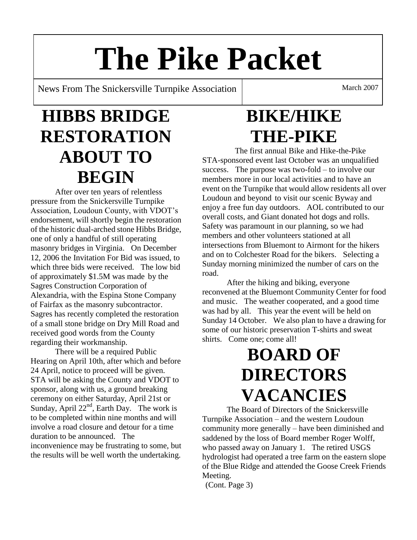# **The Pike Packet**

News From The Snickersville Turnpike Association March 2007

# **HIBBS BRIDGE RESTORATION ABOUT TO BEGIN**

After over ten years of relentless pressure from the Snickersville Turnpike Association, Loudoun County, with VDOT's endorsement, will shortly begin the restoration of the historic dual-arched stone Hibbs Bridge, one of only a handful of still operating masonry bridges in Virginia. On December 12, 2006 the Invitation For Bid was issued, to which three bids were received. The low bid of approximately \$1.5M was made by the Sagres Construction Corporation of Alexandria, with the Espina Stone Company of Fairfax as the masonry subcontractor. Sagres has recently completed the restoration of a small stone bridge on Dry Mill Road and received good words from the County regarding their workmanship.

There will be a required Public Hearing on April 10th, after which and before 24 April, notice to proceed will be given. STA will be asking the County and VDOT to sponsor, along with us, a ground breaking ceremony on either Saturday, April 21st or Sunday, April  $22<sup>nd</sup>$ , Earth Day. The work is to be completed within nine months and will involve a road closure and detour for a time duration to be announced. The inconvenience may be frustrating to some, but the results will be well worth the undertaking.

# **BIKE/HIKE THE-PIKE**

 The first annual Bike and Hike-the-Pike STA-sponsored event last October was an unqualified success. The purpose was two-fold – to involve our members more in our local activities and to have an event on the Turnpike that would allow residents all over Loudoun and beyond to visit our scenic Byway and enjoy a free fun day outdoors. AOL contributed to our overall costs, and Giant donated hot dogs and rolls. Safety was paramount in our planning, so we had members and other volunteers stationed at all intersections from Bluemont to Airmont for the hikers and on to Colchester Road for the bikers. Selecting a Sunday morning minimized the number of cars on the road.

After the hiking and biking, everyone reconvened at the Bluemont Community Center for food and music. The weather cooperated, and a good time was had by all. This year the event will be held on Sunday 14 October. We also plan to have a drawing for some of our historic preservation T-shirts and sweat shirts. Come one; come all!

# **BOARD OF DIRECTORS VACANCIES**

The Board of Directors of the Snickersville Turnpike Association – and the western Loudoun community more generally – have been diminished and saddened by the loss of Board member Roger Wolff, who passed away on January 1. The retired USGS hydrologist had operated a tree farm on the eastern slope of the Blue Ridge and attended the Goose Creek Friends Meeting.

(Cont. Page 3)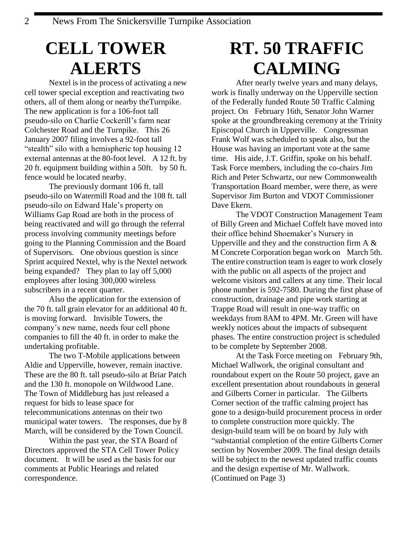### **CELL TOWER ALERTS**

Nextel is in the process of activating a new cell tower special exception and reactivating two others, all of them along or nearby theTurnpike. The new application is for a 106-foot tall pseudo-silo on Charlie Cockerill's farm near Colchester Road and the Turnpike. This 26 January 2007 filing involves a 92-foot tall "stealth" silo with a hemispheric top housing 12 external antennas at the 80-foot level. A 12 ft. by 20 ft. equipment building within a 50ft. by 50 ft. fence would be located nearby.

The previously dormant 106 ft. tall pseudo-silo on Watermill Road and the 108 ft. tall pseudo-silo on Edward Hale's property on Williams Gap Road are both in the process of being reactivated and will go through the referral process involving community meetings before going to the Planning Commission and the Board of Supervisors. One obvious question is since Sprint acquired Nextel, why is the Nextel network being expanded? They plan to lay off 5,000 employees after losing 300,000 wireless subscribers in a recent quarter.

Also the application for the extension of the 70 ft. tall grain elevator for an additional 40 ft. is moving forward. Invisible Towers, the company's new name, needs four cell phone companies to fill the 40 ft. in order to make the undertaking profitable.

The two T-Mobile applications between Aldie and Upperville, however, remain inactive. These are the 80 ft. tall pseudo-silo at Briar Patch and the 130 ft. monopole on Wildwood Lane. The Town of Middleburg has just released a request for bids to lease space for telecommunications antennas on their two municipal water towers. The responses, due by 8 March, will be considered by the Town Council.

Within the past year, the STA Board of Directors approved the STA Cell Tower Policy document. It will be used as the basis for our comments at Public Hearings and related correspondence.

## **RT. 50 TRAFFIC CALMING**

After nearly twelve years and many delays, work is finally underway on the Upperville section of the Federally funded Route 50 Traffic Calming project. On February 16th, Senator John Warner spoke at the groundbreaking ceremony at the Trinity Episcopal Church in Upperville. Congressman Frank Wolf was scheduled to speak also, but the House was having an important vote at the same time. His aide, J.T. Griffin, spoke on his behalf. Task Force members, including the co-chairs Jim Rich and Peter Schwartz, our new Commonwealth Transportation Board member, were there, as were Supervisor Jim Burton and VDOT Commissioner Dave Ekern.

The VDOT Construction Management Team of Billy Green and Michael Coffelt have moved into their office behind Shoemaker's Nursery in Upperville and they and the construction firm  $A \&$ M Concrete Corporation began work on March 5th. The entire construction team is eager to work closely with the public on all aspects of the project and welcome visitors and callers at any time. Their local phone number is 592-7580. During the first phase of construction, drainage and pipe work starting at Trappe Road will result in one-way traffic on weekdays from 8AM to 4PM. Mr. Green will have weekly notices about the impacts of subsequent phases. The entire construction project is scheduled to be complete by September 2008.

At the Task Force meeting on February 9th, Michael Wallwork, the original consultant and roundabout expert on the Route 50 project, gave an excellent presentation about roundabouts in general and Gilberts Corner in particular. The Gilberts Corner section of the traffic calming project has gone to a design-build procurement process in order to complete construction more quickly. The design-build team will be on board by July with "substantial completion of the entire Gilberts Corner section by November 2009. The final design details will be subject to the newest updated traffic counts and the design expertise of Mr. Wallwork. (Continued on Page 3)